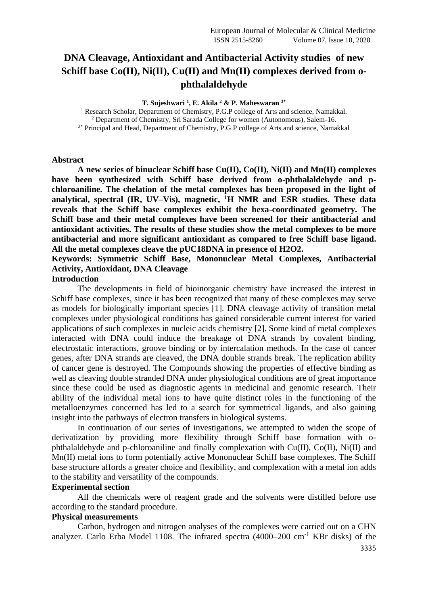# **DNA Cleavage, Antioxidant and Antibacterial Activity studies of new Schiff base Co(II), Ni(II), Cu(II) and Mn(II) complexes derived from ophthalaldehyde**

**T. Sujeshwari <sup>1</sup> , E. Akila <sup>2</sup> & P. Maheswaran 3\***

<sup>1</sup> Research Scholar, Department of Chemistry, P.G.P college of Arts and science, Namakkal.

<sup>2</sup> Department of Chemistry, Sri Sarada College for women (Autonomous), Salem-16.

<sup>3\*</sup> Principal and Head, Department of Chemistry, P.G.P college of Arts and science, Namakkal

#### **Abstract**

**A new series of binuclear Schiff base Cu(II), Co(II), Ni(II) and Mn(II) complexes have been synthesized with Schiff base derived from o-phthalaldehyde and pchloroaniline. The chelation of the metal complexes has been proposed in the light of analytical, spectral (IR, UV–Vis), magnetic, <sup>1</sup>H NMR and ESR studies. These data reveals that the Schiff base complexes exhibit the hexa-coordinated geometry. The Schiff base and their metal complexes have been screened for their antibacterial and antioxidant activities. The results of these studies show the metal complexes to be more antibacterial and more significant antioxidant as compared to free Schiff base ligand. All the metal complexes cleave the pUC18DNA in presence of H2O2.**

## **Keywords: Symmetric Schiff Base, Mononuclear Metal Complexes, Antibacterial Activity, Antioxidant, DNA Cleavage**

### **Introduction**

The developments in field of bioinorganic chemistry have increased the interest in Schiff base complexes, since it has been recognized that many of these complexes may serve as models for biologically important species [1]. DNA cleavage activity of transition metal complexes under physiological conditions has gained considerable current interest for varied applications of such complexes in nucleic acids chemistry [2]. Some kind of metal complexes interacted with DNA could induce the breakage of DNA strands by covalent binding, electrostatic interactions, groove binding or by intercalation methods. In the case of cancer genes, after DNA strands are cleaved, the DNA double strands break. The replication ability of cancer gene is destroyed. The Compounds showing the properties of effective binding as well as cleaving double stranded DNA under physiological conditions are of great importance since these could be used as diagnostic agents in medicinal and genomic research. Their ability of the individual metal ions to have quite distinct roles in the functioning of the metalloenzymes concerned has led to a search for symmetrical ligands, and also gaining insight into the pathways of electron transfers in biological systems.

In continuation of our series of investigations, we attempted to widen the scope of derivatization by providing more flexibility through Schiff base formation with ophthalaldehyde and p-chloroaniline and finally complexation with Cu(II), Co(II), Ni(II) and Mn(II) metal ions to form potentially active Mononuclear Schiff base complexes. The Schiff base structure affords a greater choice and flexibility, and complexation with a metal ion adds to the stability and versatility of the compounds.

### **Experimental section**

All the chemicals were of reagent grade and the solvents were distilled before use according to the standard procedure.

### **Physical measurements**

Carbon, hydrogen and nitrogen analyses of the complexes were carried out on a CHN analyzer. Carlo Erba Model 1108. The infrared spectra (4000–200 cm-1 KBr disks) of the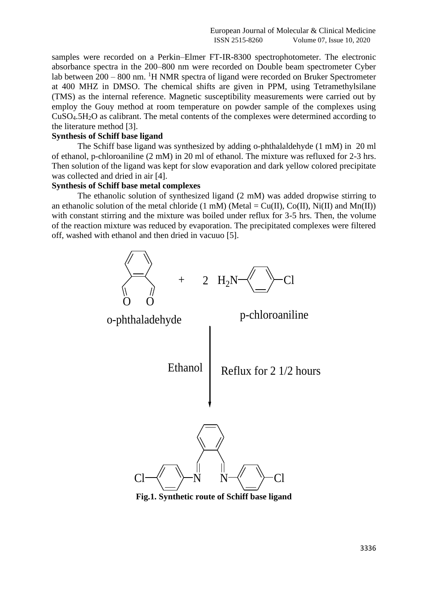samples were recorded on a Perkin–Elmer FT-IR-8300 spectrophotometer. The electronic absorbance spectra in the 200–800 nm were recorded on Double beam spectrometer Cyber lab between  $200 - 800$  nm. <sup>1</sup>H NMR spectra of ligand were recorded on Bruker Spectrometer at 400 MHZ in DMSO. The chemical shifts are given in PPM, using Tetramethylsilane (TMS) as the internal reference. Magnetic susceptibility measurements were carried out by employ the Gouy method at room temperature on powder sample of the complexes using CuSO4.5H2O as calibrant. The metal contents of the complexes were determined according to the literature method [3].

## **Synthesis of Schiff base ligand**

The Schiff base ligand was synthesized by adding o-phthalaldehyde (1 mM) in 20 ml of ethanol, p-chloroaniline (2 mM) in 20 ml of ethanol. The mixture was refluxed for 2-3 hrs. Then solution of the ligand was kept for slow evaporation and dark yellow colored precipitate was collected and dried in air [4].

### **Synthesis of Schiff base metal complexes**

The ethanolic solution of synthesized ligand (2 mM) was added dropwise stirring to an ethanolic solution of the metal chloride (1 mM) (Metal =  $Cu(II)$ ,  $Co(II)$ , Ni(II) and Mn(II)) with constant stirring and the mixture was boiled under reflux for 3-5 hrs. Then, the volume of the reaction mixture was reduced by evaporation. The precipitated complexes were filtered off, washed with ethanol and then dried in vacuuo [5].



**Fig.1. Synthetic route of Schiff base ligand**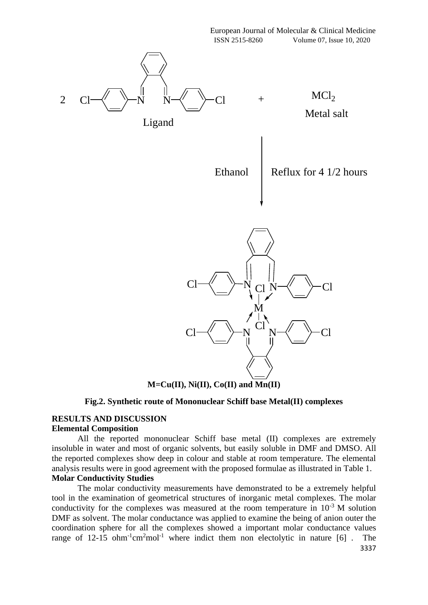

**M=Cu(II), Ni(II), Co(II) and Mn(II)**

## **Fig.2. Synthetic route of Mononuclear Schiff base Metal(II) complexes**

## **RESULTS AND DISCUSSION Elemental Composition**

All the reported mononuclear Schiff base metal (II) complexes are extremely insoluble in water and most of organic solvents, but easily soluble in DMF and DMSO. All the reported complexes show deep in colour and stable at room temperature. The elemental analysis results were in good agreement with the proposed formulae as illustrated in Table 1. **Molar Conductivity Studies**

The molar conductivity measurements have demonstrated to be a extremely helpful tool in the examination of geometrical structures of inorganic metal complexes. The molar conductivity for the complexes was measured at the room temperature in  $10^{-3}$  M solution DMF as solvent. The molar conductance was applied to examine the being of anion outer the coordination sphere for all the complexes showed a important molar conductance values range of 12-15 ohm<sup>-1</sup>cm<sup>2</sup>mol<sup>-1</sup> where indict them non electolytic in nature  $[6]$ . The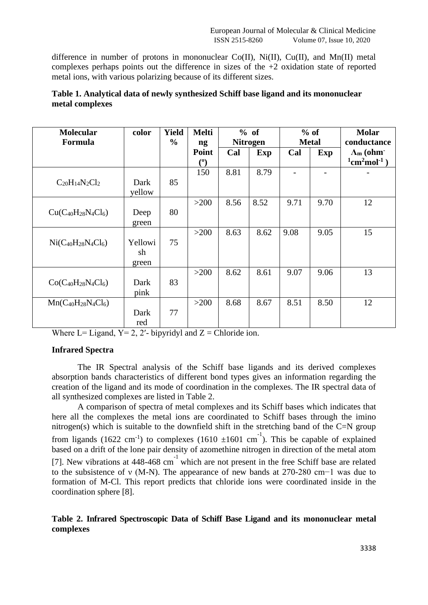difference in number of protons in mononuclear  $Co(II)$ ,  $Ni(II)$ ,  $Cu(II)$ , and  $Mn(II)$  metal complexes perhaps points out the difference in sizes of the  $+2$  oxidation state of reported metal ions, with various polarizing because of its different sizes.

| Table 1. Analytical data of newly synthesized Schiff base ligand and its mononuclear |  |
|--------------------------------------------------------------------------------------|--|
| metal complexes                                                                      |  |

| <b>Molecular</b><br>Formula   | color                  | <b>Yield</b><br>$\frac{0}{0}$ | <b>Melti</b><br>ng    |      | % of<br><b>Nitrogen</b> |      | $%$ of<br><b>Metal</b> | <b>Molar</b><br>conductance                                                         |  |
|-------------------------------|------------------------|-------------------------------|-----------------------|------|-------------------------|------|------------------------|-------------------------------------------------------------------------------------|--|
|                               |                        |                               | Point<br>$^{\rm (0)}$ | Cal  | <b>Exp</b>              | Cal  | Exp                    | $\Lambda$ <sub>m</sub> (ohm <sup>-</sup><br>$1$ cm <sup>2</sup> mol <sup>-1</sup> ) |  |
| $C_{20}H_{14}N_2Cl_2$         | Dark<br>yellow         | 85                            | 150                   | 8.81 | 8.79                    |      |                        |                                                                                     |  |
| $Cu(C_{40}H_{28}N_4Cl_6)$     | Deep<br>green          | 80                            | >200                  | 8.56 | 8.52                    | 9.71 | 9.70                   | 12                                                                                  |  |
| $Ni(C_{40}H_{28}N_{4}Cl_{6})$ | Yellowi<br>sh<br>green | 75                            | $>200$                | 8.63 | 8.62                    | 9.08 | 9.05                   | 15                                                                                  |  |
| $Co(C_{40}H_{28}N_4Cl_6)$     | Dark<br>pink           | 83                            | >200                  | 8.62 | 8.61                    | 9.07 | 9.06                   | 13                                                                                  |  |
| $Mn(C_{40}H_{28}N_4Cl_6)$     | Dark<br>red            | 77                            | >200                  | 8.68 | 8.67                    | 8.51 | 8.50                   | 12                                                                                  |  |

Where L= Ligand,  $Y = 2$ , 2'- bipyridyl and  $Z =$  Chloride ion.

## **Infrared Spectra**

The IR Spectral analysis of the Schiff base ligands and its derived complexes absorption bands characteristics of different bond types gives an information regarding the creation of the ligand and its mode of coordination in the complexes. The IR spectral data of all synthesized complexes are listed in Table 2.

A comparison of spectra of metal complexes and its Schiff bases which indicates that here all the complexes the metal ions are coordinated to Schiff bases through the imino nitrogen(s) which is suitable to the downfield shift in the stretching band of the C=N group from ligands (1622 cm<sup>-1</sup>) to complexes (1610  $\pm 1601$  cm<sup>-1</sup>). This be capable of explained based on a drift of the lone pair density of azomethine nitrogen in direction of the metal atom [7]. New vibrations at  $448-468$  cm<sup>-1</sup> which are not present in the free Schiff base are related to the subsistence of ν (M-N). The appearance of new bands at 270-280 cm−1 was due to formation of M-Cl. This report predicts that chloride ions were coordinated inside in the coordination sphere [8].

## **Table 2. Infrared Spectroscopic Data of Schiff Base Ligand and its mononuclear metal complexes**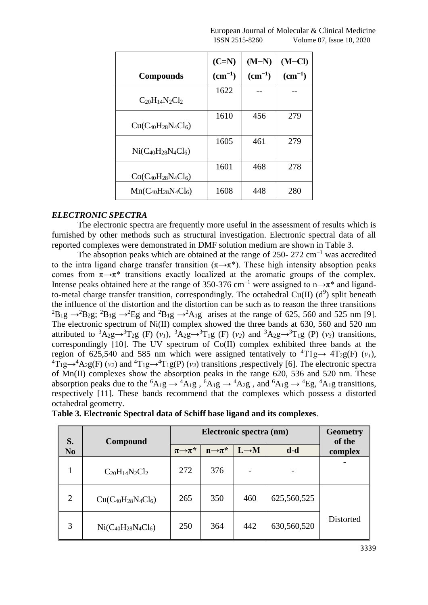|                           | $(C=N)$     | $(M-N)$     | (M–CI)      |
|---------------------------|-------------|-------------|-------------|
| <b>Compounds</b>          | $(cm^{-1})$ | $(cm^{-1})$ | $(cm^{-1})$ |
| $C_{20}H_{14}N_2Cl_2$     | 1622        |             |             |
| $Cu(C_{40}H_{28}N_4Cl_6)$ | 1610        | 456         | 279         |
| $Ni(C_{40}H_{28}N_4Cl_6)$ | 1605        | 461         | 279         |
| $Co(C_{40}H_{28}N_4Cl_6)$ | 1601        | 468         | 278         |
| $Mn(C_{40}H_{28}N_4Cl_6)$ | 1608        | 448         | 280         |

## *ELECTRONIC SPECTRA*

The electronic spectra are frequently more useful in the assessment of results which is furnished by other methods such as structural investigation. Electronic spectral data of all reported complexes were demonstrated in DMF solution medium are shown in Table 3.

The absoption peaks which are obtained at the range of 250- 272 cm<sup>-1</sup> was accredited to the intra ligand charge transfer transition  $(\pi \rightarrow \pi^*)$ . These high intensity absoption peaks comes from  $\pi \rightarrow \pi^*$  transitions exactly localized at the aromatic groups of the complex. Intense peaks obtained here at the range of 350-376 cm<sup>-1</sup> were assigned to n→π<sup>\*</sup> and ligandto-metal charge transfer transition, correspondingly. The octahedral Cu(II)  $(d^9)$  split beneath the influence of the distortion and the distortion can be such as to reason the three transitions  ${}^{2}B_{1}g \rightarrow {}^{2}B_{2}g$ ;  ${}^{2}B_{1}g \rightarrow {}^{2}Eg$  and  ${}^{2}B_{1}g \rightarrow {}^{2}A_{1}g$  arises at the range of 625, 560 and 525 nm [9]. The electronic spectrum of Ni(II) complex showed the three bands at 630, 560 and 520 nm attributed to  ${}^{3}A_{2}g \rightarrow {}^{3}T_{2}g$  (F)  $(v_{1})$ ,  ${}^{3}A_{2}g \rightarrow {}^{3}T_{1}g$  (F)  $(v_{2})$  and  ${}^{3}A_{2}g \rightarrow {}^{3}T_{1}g$  (P)  $(v_{3})$  transitions, correspondingly [10]. The UV spectrum of Co(II) complex exhibited three bands at the region of 625,540 and 585 nm which were assigned tentatively to  ${}^{4}T1g \rightarrow {}^{4}T_{2}g(F)$  ( $v_I$ ),  ${}^{4}T_{1}g \rightarrow {}^{4}A_{2}g(F)(v_{2})$  and  ${}^{4}T_{1}g \rightarrow {}^{4}T_{1}g(P)(v_{3})$  transitions ,respectively [6]. The electronic spectra of Mn(II) complexes show the absorption peaks in the range 620, 536 and 520 nm. These absorption peaks due to the <sup>6</sup>A<sub>1</sub>g  $\rightarrow$  <sup>4</sup>A<sub>1</sub>g,  $\overline{6}$ A<sub>1</sub>g  $\rightarrow$  <sup>4</sup>A<sub>2</sub>g, and <sup>6</sup>A<sub>1</sub>g  $\rightarrow$  <sup>4</sup>Eg, <sup>4</sup>A<sub>1</sub>g transitions, respectively [11]. These bands recommend that the complexes which possess a distorted octahedral geometry.

| S.             | Compound                      |                         | <b>Geometry</b><br>of the |                   |             |           |
|----------------|-------------------------------|-------------------------|---------------------------|-------------------|-------------|-----------|
| N <sub>0</sub> |                               | $\pi \rightarrow \pi^*$ | $n\rightarrow \pi^*$      | $L \rightarrow M$ | $d-d$       | complex   |
| 1              | $C_{20}H_{14}N_2Cl_2$         | 272                     | 376                       |                   |             |           |
| $\overline{2}$ | $Cu(C_{40}H_{28}N_4Cl_6)$     | 265                     | 350                       | 460               | 625,560,525 |           |
| 3              | $Ni(C_{40}H_{28}N_{4}Cl_{6})$ | 250                     | 364                       | 442               | 630,560,520 | Distorted |

**Table 3. Electronic Spectral data of Schiff base ligand and its complexes**.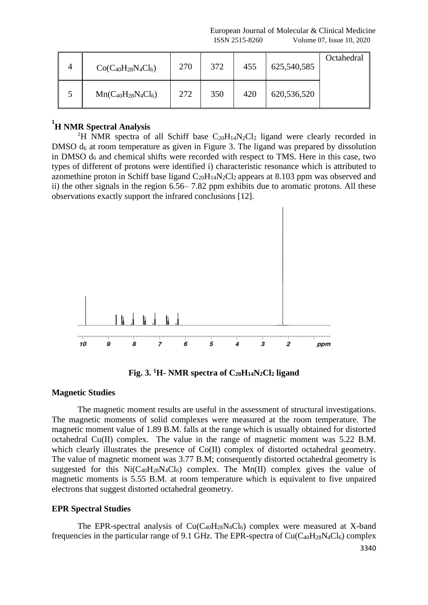| $Co(C_{40}H_{28}N_4Cl_6)$ | 270 | 372 | 455 | 625,540,585 | Octahedral |
|---------------------------|-----|-----|-----|-------------|------------|
| $Mn(C_{40}H_{28}N_4Cl_6)$ | 272 | 350 | 420 | 620,536,520 |            |

# **1 H NMR Spectral Analysis**

<sup>1</sup>H NMR spectra of all Schiff base  $C_{20}H_{14}N_2Cl_2$  ligand were clearly recorded in DMSO d<sub>6</sub> at room temperature as given in Figure 3. The ligand was prepared by dissolution in DMSO  $d_6$  and chemical shifts were recorded with respect to TMS. Here in this case, two types of different of protons were identified i) characteristic resonance which is attributed to azomethine proton in Schiff base ligand  $C_{20}H_{14}N_2Cl_2$  appears at 8.103 ppm was observed and ii) the other signals in the region 6.56– 7.82 ppm exhibits due to aromatic protons. All these observations exactly support the infrared conclusions [12].



**Fig. 3. <sup>1</sup>H- NMR spectra of**  $C_{20}H_1A N_2Cl_2$  **ligand** 

### **Magnetic Studies**

The magnetic moment results are useful in the assessment of structural investigations. The magnetic moments of solid complexes were measured at the room temperature. The magnetic moment value of 1.89 B.M. falls at the range which is usually obtained for distorted octahedral Cu(II) complex. The value in the range of magnetic moment was 5.22 B.M. which clearly illustrates the presence of Co(II) complex of distorted octahedral geometry. The value of magnetic moment was 3.77 B.M; consequently distorted octahedral geometry is suggested for this  $Ni(C_{40}H_{28}N_4Cl_6)$  complex. The Mn(II) complex gives the value of magnetic moments is 5.55 B.M. at room temperature which is equivalent to five unpaired electrons that suggest distorted octahedral geometry.

## **EPR Spectral Studies**

The EPR-spectral analysis of  $Cu(C_{40}H_{28}N_4Cl_6)$  complex were measured at X-band frequencies in the particular range of 9.1 GHz. The EPR-spectra of  $Cu(C_{40}H_{28}N_4Cl_6)$  complex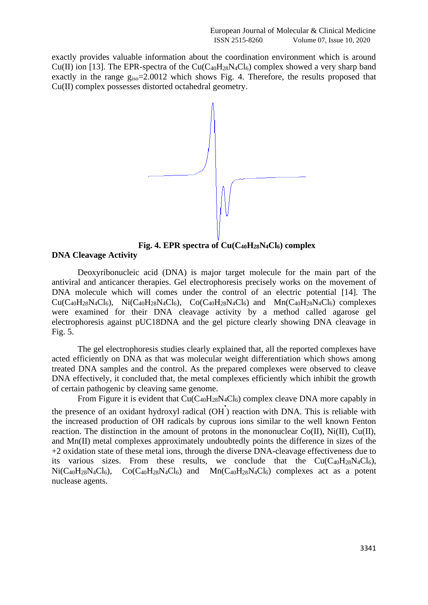exactly provides valuable information about the coordination environment which is around Cu(II) ion [13]. The EPR-spectra of the Cu( $C_{40}H_{28}N_4Cl_6$ ) complex showed a very sharp band exactly in the range  $g_{iso} = 2.0012$  which shows Fig. 4. Therefore, the results proposed that Cu(II) complex possesses distorted octahedral geometry.



**Fig. 4. EPR spectra of Cu(C40H28N4Cl6) complex DNA Cleavage Activity**

Deoxyribonucleic acid (DNA) is major target molecule for the main part of the antiviral and anticancer therapies. Gel electrophoresis precisely works on the movement of DNA molecule which will comes under the control of an electric potential [14]. The  $Cu(C_{40}H_{28}N_4Cl_6)$ ,  $Ni(C_{40}H_{28}N_4Cl_6)$ ,  $Co(C_{40}H_{28}N_4Cl_6)$  and  $Mn(C_{40}H_{28}N_4Cl_6)$  complexes were examined for their DNA cleavage activity by a method called agarose gel electrophoresis against pUC18DNA and the gel picture clearly showing DNA cleavage in Fig. 5.

The gel electrophoresis studies clearly explained that, all the reported complexes have acted efficiently on DNA as that was molecular weight differentiation which shows among treated DNA samples and the control. As the prepared complexes were observed to cleave DNA effectively, it concluded that, the metal complexes efficiently which inhibit the growth of certain pathogenic by cleaving same genome.

From Figure it is evident that  $Cu(C_{40}H_{28}N_4Cl_6)$  complex cleave DNA more capably in the presence of an oxidant hydroxyl radical (OH<sup>'</sup>) reaction with DNA. This is reliable with the increased production of OH radicals by cuprous ions similar to the well known Fenton reaction. The distinction in the amount of protons in the mononuclear Co(II), Ni(II), Cu(II), and Mn(II) metal complexes approximately undoubtedly points the difference in sizes of the +2 oxidation state of these metal ions, through the diverse DNA-cleavage effectiveness due to its various sizes. From these results, we conclude that the  $Cu(C_{40}H_{28}N_4Cl_6)$ ,  $Ni(C_{40}H_{28}N_4Cl_6)$ ,  $Co(C_{40}H_{28}N_4Cl_6)$  and  $Mn(C_{40}H_{28}N_4Cl_6)$  complexes act as a potent nuclease agents.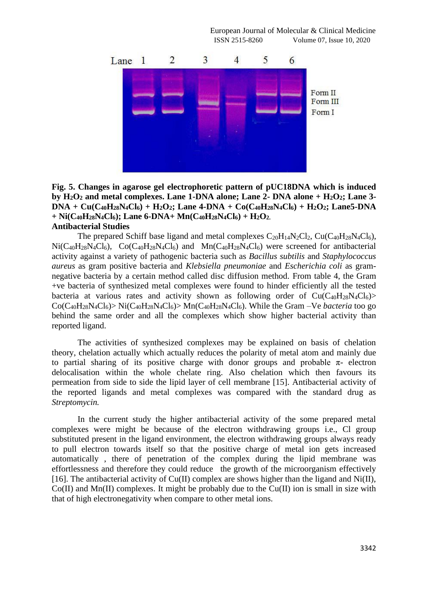

**Fig. 5. Changes in agarose gel electrophoretic pattern of pUC18DNA which is induced by H2O<sup>2</sup> and metal complexes. Lane 1-DNA alone; Lane 2- DNA alone + H2O2; Lane 3-**  $DNA + Cu(C_{40}H_{28}N_4Cl_6) + H_2O_2$ ; Lane 4-DNA + Co(C<sub>40</sub>H<sub>28</sub>N<sub>4</sub>Cl<sub>6</sub>) + H<sub>2</sub>O<sub>2</sub>; Lane5-DNA  $+$  Ni(C<sub>40</sub>H<sub>28</sub>N<sub>4</sub>Cl<sub>6</sub>); Lane 6-DNA+ Mn(C<sub>40</sub>H<sub>28</sub>N<sub>4</sub>Cl<sub>6</sub>) + H<sub>2</sub>O<sub>2</sub>. **Antibacterial Studies**

The prepared Schiff base ligand and metal complexes  $C_{20}H_14N_2Cl_2$ ,  $Cu(C_{40}H_{28}N_4Cl_6)$ ,  $Ni(C_{40}H_{28}N_4Cl_6)$ ,  $Co(C_{40}H_{28}N_4Cl_6)$  and  $Mn(C_{40}H_{28}N_4Cl_6)$  were screened for antibacterial activity against a variety of pathogenic bacteria such as *Bacillus subtilis* and *Staphylococcus aureus* as gram positive bacteria and *Klebsiella pneumoniae* and *Escherichia coli* as gramnegative bacteria by a certain method called disc diffusion method. From table 4, the Gram +ve bacteria of synthesized metal complexes were found to hinder efficiently all the tested bacteria at various rates and activity shown as following order of  $Cu(C_{40}H_{28}N_4Cl_6)$  $Co(C_{40}H_{28}N_4Cl_6)$  Ni $(C_{40}H_{28}N_4Cl_6)$  Mn( $C_{40}H_{28}N_4Cl_6$ ). While the Gram –Ve *bacteria* too go behind the same order and all the complexes which show higher bacterial activity than reported ligand.

The activities of synthesized complexes may be explained on basis of chelation theory, chelation actually which actually reduces the polarity of metal atom and mainly due to partial sharing of its positive charge with donor groups and probable  $\pi$ - electron delocalisation within the whole chelate ring. Also chelation which then favours its permeation from side to side the lipid layer of cell membrane [15]. Antibacterial activity of the reported ligands and metal complexes was compared with the standard drug as *Streptomycin.*

In the current study the higher antibacterial activity of the some prepared metal complexes were might be because of the electron withdrawing groups i.e., Cl group substituted present in the ligand environment, the electron withdrawing groups always ready to pull electron towards itself so that the positive charge of metal ion gets increased automatically , there of penetration of the complex during the lipid membrane was effortlessness and therefore they could reduce the growth of the microorganism effectively [16]. The antibacterial activity of  $Cu(II)$  complex are shows higher than the ligand and Ni(II),  $Co(II)$  and Mn(II) complexes. It might be probably due to the  $Cu(II)$  ion is small in size with that of high electronegativity when compare to other metal ions.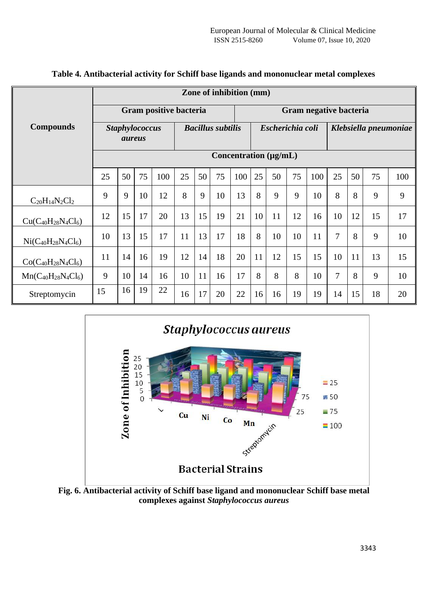|                           | Zone of inhibition (mm)                |                       |    |                          |    |    |    |                  |    |                        |                       |     |                |    |    |     |
|---------------------------|----------------------------------------|-----------------------|----|--------------------------|----|----|----|------------------|----|------------------------|-----------------------|-----|----------------|----|----|-----|
|                           | Gram positive bacteria                 |                       |    |                          |    |    |    |                  |    | Gram negative bacteria |                       |     |                |    |    |     |
| <b>Compounds</b>          | <b>Staphylococcus</b><br><i>aureus</i> |                       |    | <b>Bacillus subtilis</b> |    |    |    | Escherichia coli |    |                        | Klebsiella pneumoniae |     |                |    |    |     |
|                           |                                        | Concentration (µg/mL) |    |                          |    |    |    |                  |    |                        |                       |     |                |    |    |     |
|                           | 25                                     | 50                    | 75 | 100                      | 25 | 50 | 75 | 100              | 25 | 50                     | 75                    | 100 | 25             | 50 | 75 | 100 |
| $C_{20}H_{14}N_2Cl_2$     | 9                                      | 9                     | 10 | 12                       | 8  | 9  | 10 | 13               | 8  | 9                      | 9                     | 10  | 8              | 8  | 9  | 9   |
| $Cu(C_{40}H_{28}N_4Cl_6)$ | 12                                     | 15                    | 17 | 20                       | 13 | 15 | 19 | 21               | 10 | 11                     | 12                    | 16  | 10             | 12 | 15 | 17  |
| $Ni(C_{40}H_{28}N_4Cl_6)$ | 10                                     | 13                    | 15 | 17                       | 11 | 13 | 17 | 18               | 8  | 10                     | 10                    | 11  | $\overline{7}$ | 8  | 9  | 10  |
| $Co(C_{40}H_{28}N_4Cl_6)$ | 11                                     | 14                    | 16 | 19                       | 12 | 14 | 18 | 20               | 11 | 12                     | 15                    | 15  | 10             | 11 | 13 | 15  |
| $Mn(C_{40}H_{28}N_4Cl_6)$ | 9                                      | 10                    | 14 | 16                       | 10 | 11 | 16 | 17               | 8  | 8                      | 8                     | 10  | $\overline{7}$ | 8  | 9  | 10  |
| Streptomycin              | 15                                     | 16                    | 19 | 22                       | 16 | 17 | 20 | 22               | 16 | 16                     | 19                    | 19  | 14             | 15 | 18 | 20  |

**Table 4. Antibacterial activity for Schiff base ligands and mononuclear metal complexes**



**Fig. 6. Antibacterial activity of Schiff base ligand and mononuclear Schiff base metal complexes against** *Staphylococcus aureus*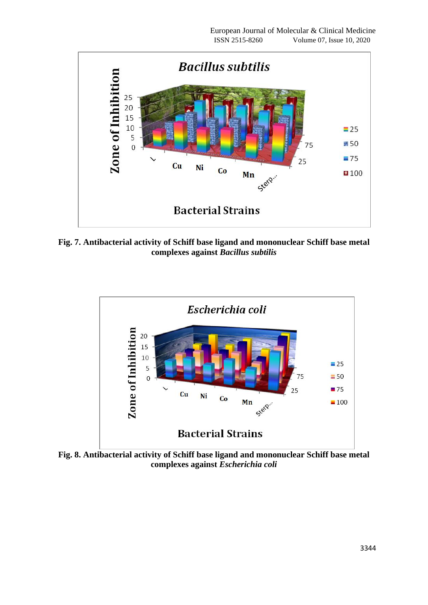

**Fig. 7. Antibacterial activity of Schiff base ligand and mononuclear Schiff base metal complexes against** *Bacillus subtilis*



**Fig. 8. Antibacterial activity of Schiff base ligand and mononuclear Schiff base metal complexes against** *Escherichia coli*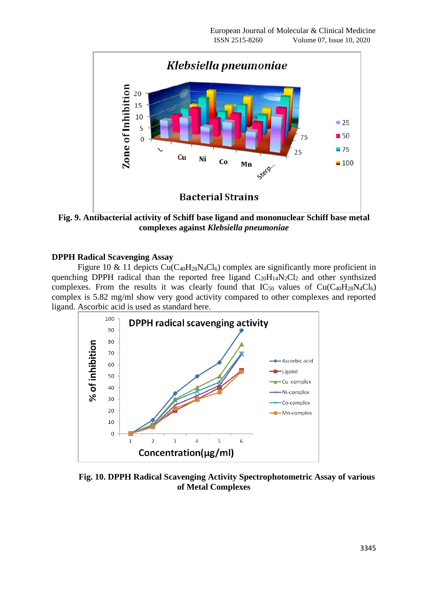

**Fig. 9. Antibacterial activity of Schiff base ligand and mononuclear Schiff base metal complexes against** *Klebsiella pneumoniae*

## **DPPH Radical Scavenging Assay**

Figure 10 & 11 depicts  $Cu(C_{40}H_{28}N_4Cl_6)$  complex are significantly more proficient in quenching DPPH radical than the reported free ligand  $C_{20}H_{14}N_2Cl_2$  and other synthsized complexes. From the results it was clearly found that  $IC_{50}$  values of  $Cu(C_{40}H_{28}N_{4}Cl_{6})$ complex is 5.82 mg/ml show very good activity compared to other complexes and reported ligand. Ascorbic acid is used as standard here.



**Fig. 10. DPPH Radical Scavenging Activity Spectrophotometric Assay of various of Metal Complexes**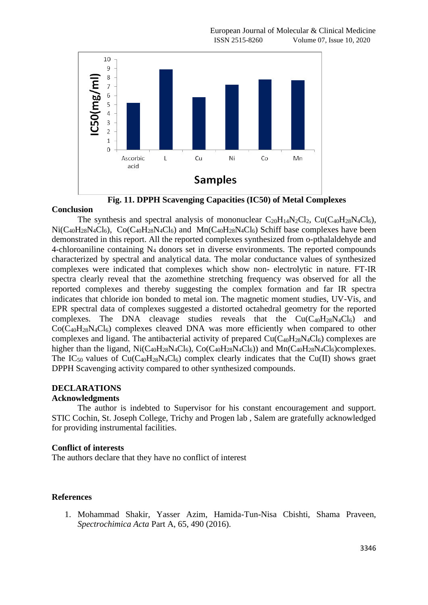

**Fig. 11. DPPH Scavenging Capacities (IC50) of Metal Complexes**

### **Conclusion**

The synthesis and spectral analysis of mononuclear  $C_{20}H_{14}N_2Cl_2$ ,  $Cu(C_{40}H_{28}N_4Cl_6)$ ,  $Ni(C_{40}H_{28}N_4Cl_6)$ ,  $Co(C_{40}H_{28}N_4Cl_6)$  and  $Mn(C_{40}H_{28}N_4Cl_6)$  Schiff base complexes have been demonstrated in this report. All the reported complexes synthesized from o-pthalaldehyde and 4-chloroaniline containing  $N_4$  donors set in diverse environments. The reported compounds characterized by spectral and analytical data. The molar conductance values of synthesized complexes were indicated that complexes which show non- electrolytic in nature. FT-IR spectra clearly reveal that the azomethine stretching frequency was observed for all the reported complexes and thereby suggesting the complex formation and far IR spectra indicates that chloride ion bonded to metal ion. The magnetic moment studies, UV-Vis, and EPR spectral data of complexes suggested a distorted octahedral geometry for the reported complexes. The DNA cleavage studies reveals that the  $Cu(C_{40}H_{28}N_4Cl_6)$  and  $Co(C_{40}H_{28}N_4Cl_6)$  complexes cleaved DNA was more efficiently when compared to other complexes and ligand. The antibacterial activity of prepared  $Cu(C_{40}H_{28}N_4Cl_6)$  complexes are higher than the ligand,  $Ni(C_{40}H_{28}N_4Cl_6)$ ,  $Co(C_{40}H_{28}N_4Cl_6)$  and  $Mn(C_{40}H_{28}N_4Cl_6)$ complexes. The IC<sub>50</sub> values of Cu(C<sub>40</sub>H<sub>28</sub>N<sub>4</sub>Cl<sub>6</sub>) complex clearly indicates that the Cu(II) shows graet DPPH Scavenging activity compared to other synthesized compounds.

# **DECLARATIONS**

## **Acknowledgments**

The author is indebted to Supervisor for his constant encouragement and support. STIC Cochin, St. Joseph College, Trichy and Progen lab , Salem are gratefully acknowledged for providing instrumental facilities.

### **Conflict of interests**

The authors declare that they have no conflict of interest

## **References**

1. Mohammad Shakir, Yasser Azim, Hamida-Tun-Nisa Cbishti, Shama Praveen, *Spectrochimica Acta* Part A, 65, 490 (2016).